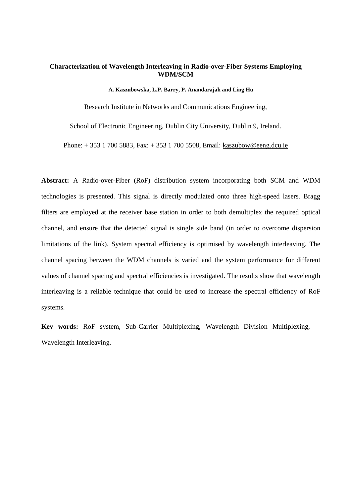## **Characterization of Wavelength Interleaving in Radio-over-Fiber Systems Employing WDM/SCM**

#### **A. Kaszubowska, L.P. Barry, P. Anandarajah and Ling Hu**

Research Institute in Networks and Communications Engineering,

School of Electronic Engineering, Dublin City University, Dublin 9, Ireland.

Phone: + 353 1 700 5883, Fax: + 353 1 700 5508, Email: kaszubow@eeng.dcu.ie

**Abstract:** A Radio-over-Fiber (RoF) distribution system incorporating both SCM and WDM technologies is presented. This signal is directly modulated onto three high-speed lasers. Bragg filters are employed at the receiver base station in order to both demultiplex the required optical channel, and ensure that the detected signal is single side band (in order to overcome dispersion limitations of the link). System spectral efficiency is optimised by wavelength interleaving. The channel spacing between the WDM channels is varied and the system performance for different values of channel spacing and spectral efficiencies is investigated. The results show that wavelength interleaving is a reliable technique that could be used to increase the spectral efficiency of RoF systems.

**Key words:** RoF system, Sub-Carrier Multiplexing, Wavelength Division Multiplexing, Wavelength Interleaving.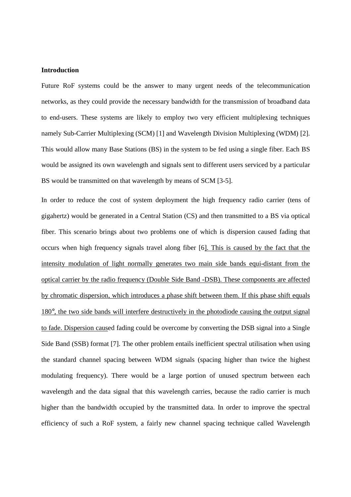### **Introduction**

Future RoF systems could be the answer to many urgent needs of the telecommunication networks, as they could provide the necessary bandwidth for the transmission of broadband data to end-users. These systems are likely to employ two very efficient multiplexing techniques namely Sub-Carrier Multiplexing (SCM) [1] and Wavelength Division Multiplexing (WDM) [2]. This would allow many Base Stations (BS) in the system to be fed using a single fiber. Each BS would be assigned its own wavelength and signals sent to different users serviced by a particular BS would be transmitted on that wavelength by means of SCM [3-5].

In order to reduce the cost of system deployment the high frequency radio carrier (tens of gigahertz) would be generated in a Central Station (CS) and then transmitted to a BS via optical fiber. This scenario brings about two problems one of which is dispersion caused fading that occurs when high frequency signals travel along fiber [6]. This is caused by the fact that the intensity modulation of light normally generates two main side bands equi-distant from the optical carrier by the radio frequency (Double Side Band -DSB). These components are affected by chromatic dispersion, which introduces a phase shift between them. If this phase shift equals 180°, the two side bands will interfere destructively in the photodiode causing the output signal to fade. Dispersion caused fading could be overcome by converting the DSB signal into a Single Side Band (SSB) format [7]. The other problem entails inefficient spectral utilisation when using the standard channel spacing between WDM signals (spacing higher than twice the highest modulating frequency). There would be a large portion of unused spectrum between each wavelength and the data signal that this wavelength carries, because the radio carrier is much higher than the bandwidth occupied by the transmitted data. In order to improve the spectral efficiency of such a RoF system, a fairly new channel spacing technique called Wavelength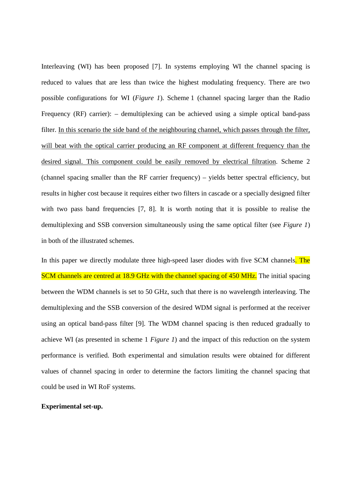Interleaving (WI) has been proposed [7]. In systems employing WI the channel spacing is reduced to values that are less than twice the highest modulating frequency. There are two possible configurations for WI (*Figure 1*). Scheme 1 (channel spacing larger than the Radio Frequency (RF) carrier): – demultiplexing can be achieved using a simple optical band-pass filter. In this scenario the side band of the neighbouring channel, which passes through the filter, will beat with the optical carrier producing an RF component at different frequency than the desired signal. This component could be easily removed by electrical filtration. Scheme 2 (channel spacing smaller than the RF carrier frequency) – yields better spectral efficiency, but results in higher cost because it requires either two filters in cascade or a specially designed filter with two pass band frequencies [7, 8]. It is worth noting that it is possible to realise the demultiplexing and SSB conversion simultaneously using the same optical filter (see *Figure 1*) in both of the illustrated schemes.

In this paper we directly modulate three high-speed laser diodes with five SCM channels. The SCM channels are centred at 18.9 GHz with the channel spacing of 450 MHz. The initial spacing between the WDM channels is set to 50 GHz, such that there is no wavelength interleaving. The demultiplexing and the SSB conversion of the desired WDM signal is performed at the receiver using an optical band-pass filter [9]. The WDM channel spacing is then reduced gradually to achieve WI (as presented in scheme 1 *Figure 1*) and the impact of this reduction on the system performance is verified. Both experimental and simulation results were obtained for different values of channel spacing in order to determine the factors limiting the channel spacing that could be used in WI RoF systems.

## **Experimental set-up.**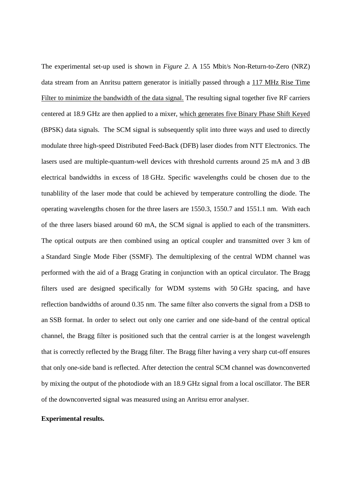The experimental set-up used is shown in *Figure 2*. A 155 Mbit/s Non-Return-to-Zero (NRZ) data stream from an Anritsu pattern generator is initially passed through a 117 MHz Rise Time Filter to minimize the bandwidth of the data signal. The resulting signal together five RF carriers centered at 18.9 GHz are then applied to a mixer, which generates five Binary Phase Shift Keyed (BPSK) data signals. The SCM signal is subsequently split into three ways and used to directly modulate three high-speed Distributed Feed-Back (DFB) laser diodes from NTT Electronics. The lasers used are multiple-quantum-well devices with threshold currents around 25 mA and 3 dB electrical bandwidths in excess of 18 GHz. Specific wavelengths could be chosen due to the tunablility of the laser mode that could be achieved by temperature controlling the diode. The operating wavelengths chosen for the three lasers are 1550.3, 1550.7 and 1551.1 nm. With each of the three lasers biased around 60 mA, the SCM signal is applied to each of the transmitters. The optical outputs are then combined using an optical coupler and transmitted over 3 km of a Standard Single Mode Fiber (SSMF). The demultiplexing of the central WDM channel was performed with the aid of a Bragg Grating in conjunction with an optical circulator. The Bragg filters used are designed specifically for WDM systems with 50 GHz spacing, and have reflection bandwidths of around 0.35 nm. The same filter also converts the signal from a DSB to an SSB format. In order to select out only one carrier and one side-band of the central optical channel, the Bragg filter is positioned such that the central carrier is at the longest wavelength that is correctly reflected by the Bragg filter. The Bragg filter having a very sharp cut-off ensures that only one-side band is reflected. After detection the central SCM channel was downconverted by mixing the output of the photodiode with an 18.9 GHz signal from a local oscillator. The BER of the downconverted signal was measured using an Anritsu error analyser.

### **Experimental results.**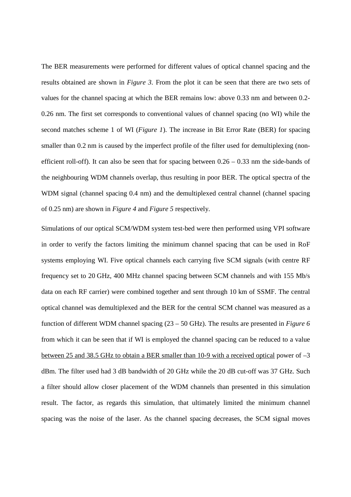The BER measurements were performed for different values of optical channel spacing and the results obtained are shown in *Figure 3*. From the plot it can be seen that there are two sets of values for the channel spacing at which the BER remains low: above 0.33 nm and between 0.2- 0.26 nm. The first set corresponds to conventional values of channel spacing (no WI) while the second matches scheme 1 of WI (*Figure 1*). The increase in Bit Error Rate (BER) for spacing smaller than 0.2 nm is caused by the imperfect profile of the filter used for demultiplexing (nonefficient roll-off). It can also be seen that for spacing between  $0.26 - 0.33$  nm the side-bands of the neighbouring WDM channels overlap, thus resulting in poor BER. The optical spectra of the WDM signal (channel spacing 0.4 nm) and the demultiplexed central channel (channel spacing of 0.25 nm) are shown in *Figure 4* and *Figure 5* respectively.

Simulations of our optical SCM/WDM system test-bed were then performed using VPI software in order to verify the factors limiting the minimum channel spacing that can be used in RoF systems employing WI. Five optical channels each carrying five SCM signals (with centre RF frequency set to 20 GHz, 400 MHz channel spacing between SCM channels and with 155 Mb/s data on each RF carrier) were combined together and sent through 10 km of SSMF. The central optical channel was demultiplexed and the BER for the central SCM channel was measured as a function of different WDM channel spacing (23 – 50 GHz). The results are presented in *Figure 6* from which it can be seen that if WI is employed the channel spacing can be reduced to a value between 25 and 38.5 GHz to obtain a BER smaller than 10-9 with a received optical power of –3 dBm. The filter used had 3 dB bandwidth of 20 GHz while the 20 dB cut-off was 37 GHz. Such a filter should allow closer placement of the WDM channels than presented in this simulation result. The factor, as regards this simulation, that ultimately limited the minimum channel spacing was the noise of the laser. As the channel spacing decreases, the SCM signal moves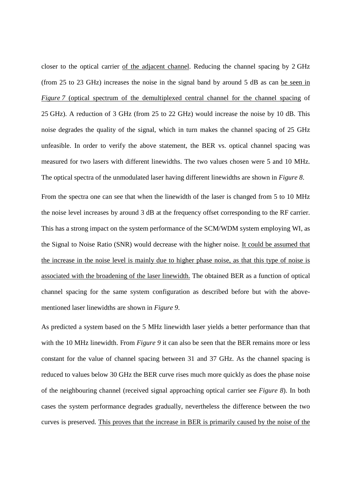closer to the optical carrier of the adjacent channel. Reducing the channel spacing by 2 GHz (from 25 to 23 GHz) increases the noise in the signal band by around 5 dB as can be seen in *Figure 7* (optical spectrum of the demultiplexed central channel for the channel spacing of 25 GHz). A reduction of 3 GHz (from 25 to 22 GHz) would increase the noise by 10 dB. This noise degrades the quality of the signal, which in turn makes the channel spacing of 25 GHz unfeasible. In order to verify the above statement, the BER vs. optical channel spacing was measured for two lasers with different linewidths. The two values chosen were 5 and 10 MHz. The optical spectra of the unmodulated laser having different linewidths are shown in *Figure 8*.

From the spectra one can see that when the linewidth of the laser is changed from 5 to 10 MHz the noise level increases by around 3 dB at the frequency offset corresponding to the RF carrier. This has a strong impact on the system performance of the SCM/WDM system employing WI, as the Signal to Noise Ratio (SNR) would decrease with the higher noise. It could be assumed that the increase in the noise level is mainly due to higher phase noise, as that this type of noise is associated with the broadening of the laser linewidth. The obtained BER as a function of optical channel spacing for the same system configuration as described before but with the abovementioned laser linewidths are shown in *Figure 9*.

As predicted a system based on the 5 MHz linewidth laser yields a better performance than that with the 10 MHz linewidth. From *Figure 9* it can also be seen that the BER remains more or less constant for the value of channel spacing between 31 and 37 GHz. As the channel spacing is reduced to values below 30 GHz the BER curve rises much more quickly as does the phase noise of the neighbouring channel (received signal approaching optical carrier see *Figure 8*). In both cases the system performance degrades gradually, nevertheless the difference between the two curves is preserved. This proves that the increase in BER is primarily caused by the noise of the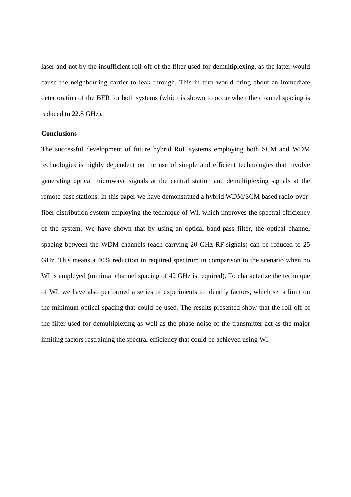laser and not by the insufficient roll-off of the filter used for demultiplexing, as the latter would cause the neighbouring carrier to leak through. This in turn would bring about an immediate deterioration of the BER for both systems (which is shown to occur when the channel spacing is reduced to 22.5 GHz).

## **Conclusions**

The successful development of future hybrid RoF systems employing both SCM and WDM technologies is highly dependent on the use of simple and efficient technologies that involve generating optical microwave signals at the central station and demultiplexing signals at the remote base stations. In this paper we have demonstrated a hybrid WDM/SCM based radio-overfiber distribution system employing the technique of WI, which improves the spectral efficiency of the system. We have shown that by using an optical band-pass filter, the optical channel spacing between the WDM channels (each carrying 20 GHz RF signals) can be reduced to 25 GHz. This means a 40% reduction in required spectrum in comparison to the scenario when no WI is employed (minimal channel spacing of 42 GHz is required). To characterize the technique of WI, we have also performed a series of experiments to identify factors, which set a limit on the minimum optical spacing that could be used. The results presented show that the roll-off of the filter used for demultiplexing as well as the phase noise of the transmitter act as the major limiting factors restraining the spectral efficiency that could be achieved using WI.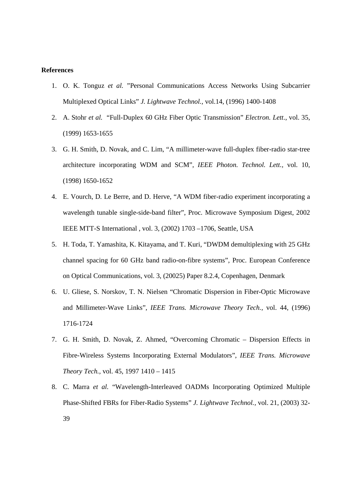#### **References**

- 1. O. K. Tonguz *et al.* "Personal Communications Access Networks Using Subcarrier Multiplexed Optical Links" *J. Lightwave Technol.,* vol.14, (1996) 1400-1408
- 2. A. Stohr *et al.* "Full-Duplex 60 GHz Fiber Optic Transmission" *Electron. Lett*., vol. 35, (1999) 1653-1655
- 3. G. H. Smith, D. Novak, and C. Lim, "A millimeter-wave full-duplex fiber-radio star-tree architecture incorporating WDM and SCM", *IEEE Photon. Technol. Lett.,* vol. 10, (1998) 1650-1652
- 4. E. Vourch, D. Le Berre, and D. Herve, "A WDM fiber-radio experiment incorporating a wavelength tunable single-side-band filter", Proc. Microwave Symposium Digest, 2002 IEEE MTT-S International , vol. 3, (2002) 1703 –1706, Seattle, USA
- 5. H. Toda, T. Yamashita, K. Kitayama, and T. Kuri, "DWDM demultiplexing with 25 GHz channel spacing for 60 GHz band radio-on-fibre systems", Proc. European Conference on Optical Communications, vol. 3, (20025) Paper 8.2.4, Copenhagen, Denmark
- 6. U. Gliese, S. Norskov, T. N. Nielsen "Chromatic Dispersion in Fiber-Optic Microwave and Millimeter-Wave Links", *IEEE Trans. Microwave Theory Tech.,* vol. 44, (1996) 1716-1724
- 7. G. H. Smith, D. Novak, Z. Ahmed, "Overcoming Chromatic Dispersion Effects in Fibre-Wireless Systems Incorporating External Modulators", *IEEE Trans. Microwave Theory Tech.,* vol. 45, 1997 1410 – 1415
- 8. C. Marra *et al.* "Wavelength-Interleaved OADMs Incorporating Optimized Multiple Phase-Shifted FBRs for Fiber-Radio Systems" *J. Lightwave Technol.,* vol. 21, (2003) 32- 39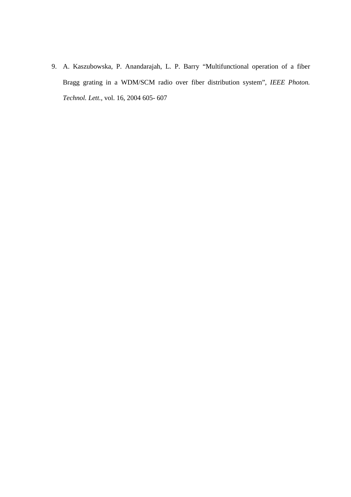9. A. Kaszubowska, P. Anandarajah, L. P. Barry "Multifunctional operation of a fiber Bragg grating in a WDM/SCM radio over fiber distribution system", *IEEE Photon. Technol. Lett.,* vol. 16, 2004 605- 607